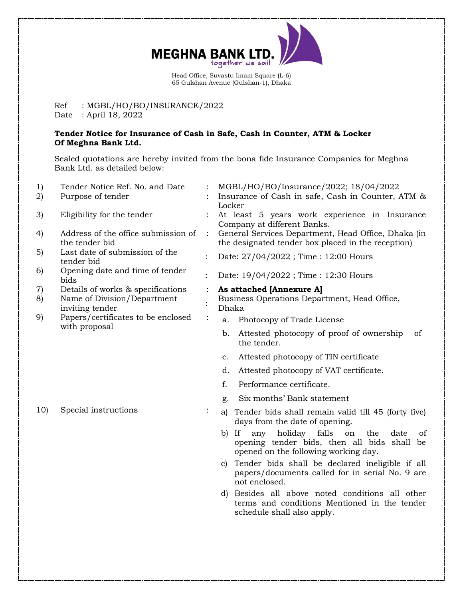

Head Office, Suvastu Imam Square (L-6) 65 Gulshan Avenue (Gulshan-1), Dhaka

### Ref : MGBL/HO/BO/INSURANCE/2022 Date : April 18, 2022

#### **Tender Notice for Insurance of Cash in Safe, Cash in Counter, ATM & Locker Of Meghna Bank Ltd.**

Sealed quotations are hereby invited from the bona fide Insurance Companies for Meghna Bank Ltd. as detailed below:

| 1)<br>2) | Tender Notice Ref. No. and Date<br>Purpose of tender                                |                | MGBL/HO/BO/Insurance/2022; 18/04/2022<br>Insurance of Cash in safe, Cash in Counter, ATM &<br>Locker                                               |  |  |
|----------|-------------------------------------------------------------------------------------|----------------|----------------------------------------------------------------------------------------------------------------------------------------------------|--|--|
| 3)       | Eligibility for the tender                                                          |                | At least 5 years work experience in Insurance<br>Company at different Banks.                                                                       |  |  |
| 4)       | Address of the office submission of<br>the tender bid                               | $\ddot{\cdot}$ | General Services Department, Head Office, Dhaka (in<br>the designated tender box placed in the reception)                                          |  |  |
| 5)       | Last date of submission of the<br>tender bid                                        | $\ddot{\cdot}$ | Date: 27/04/2022; Time: 12:00 Hours                                                                                                                |  |  |
| 6)       | Opening date and time of tender<br>bids                                             |                | Date: 19/04/2022; Time: 12:30 Hours                                                                                                                |  |  |
| 7)<br>8) | Details of works & specifications<br>Name of Division/Department<br>inviting tender | $\vdots$       | As attached [Annexure A]<br>Business Operations Department, Head Office,<br>Dhaka                                                                  |  |  |
| 9)       | Papers/certificates to be enclosed<br>with proposal                                 | $\ddot{\cdot}$ | Photocopy of Trade License<br>a.                                                                                                                   |  |  |
|          |                                                                                     |                | Attested photocopy of proof of ownership<br>b.<br>οf<br>the tender.                                                                                |  |  |
|          |                                                                                     |                | Attested photocopy of TIN certificate<br>c.                                                                                                        |  |  |
|          |                                                                                     |                | Attested photocopy of VAT certificate.<br>d.                                                                                                       |  |  |
|          |                                                                                     |                | f.<br>Performance certificate.                                                                                                                     |  |  |
|          |                                                                                     |                | Six months' Bank statement<br>g.                                                                                                                   |  |  |
| 10)      | Special instructions                                                                | ÷              | a) Tender bids shall remain valid till 45 (forty five)<br>days from the date of opening.                                                           |  |  |
|          |                                                                                     |                | holiday falls<br>If<br>any<br>the<br>b)<br>on<br>date<br>οf<br>opening tender bids, then all bids shall be<br>opened on the following working day. |  |  |
|          |                                                                                     |                | Tender bids shall be declared ineligible if all<br>C)<br>papers/documents called for in serial No. 9 are<br>not enclosed.                          |  |  |
|          |                                                                                     |                | Besides all above noted conditions all other<br>d)<br>terms and conditions Mentioned in the tender<br>schedule shall also apply.                   |  |  |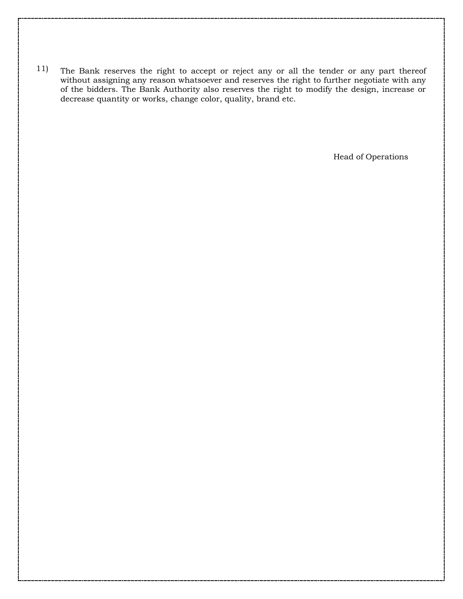11) The Bank reserves the right to accept or reject any or all the tender or any part thereof without assigning any reason whatsoever and reserves the right to further negotiate with any of the bidders. The Bank Authority also reserves the right to modify the design, increase or decrease quantity or works, change color, quality, brand etc.

Head of Operations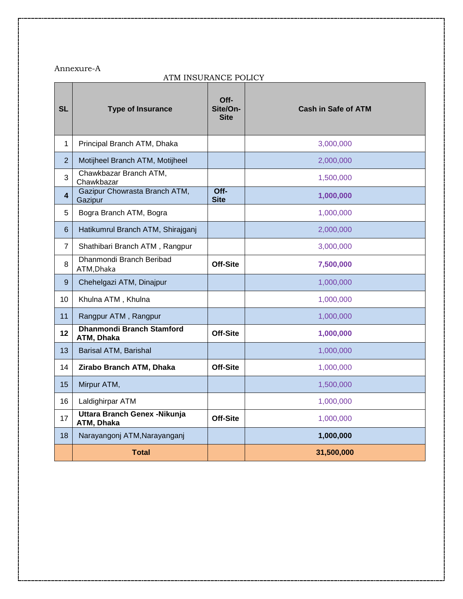### Annexure-A

## ATM INSURANCE POLICY

| <b>SL</b>      | <b>Type of Insurance</b>                       | Off-<br>Site/On-<br><b>Site</b> | <b>Cash in Safe of ATM</b> |
|----------------|------------------------------------------------|---------------------------------|----------------------------|
| 1              | Principal Branch ATM, Dhaka                    |                                 | 3,000,000                  |
| $\overline{2}$ | Motijheel Branch ATM, Motijheel                |                                 | 2,000,000                  |
| 3              | Chawkbazar Branch ATM,<br>Chawkbazar           |                                 | 1,500,000                  |
| 4              | Gazipur Chowrasta Branch ATM,<br>Gazipur       | $Off$ -<br><b>Site</b>          | 1,000,000                  |
| 5              | Bogra Branch ATM, Bogra                        |                                 | 1,000,000                  |
| 6              | Hatikumrul Branch ATM, Shirajganj              |                                 | 2,000,000                  |
| $\overline{7}$ | Shathibari Branch ATM, Rangpur                 |                                 | 3,000,000                  |
| 8              | Dhanmondi Branch Beribad<br>ATM, Dhaka         | Off-Site                        | 7,500,000                  |
| 9              | Chehelgazi ATM, Dinajpur                       |                                 | 1,000,000                  |
| 10             | Khulna ATM, Khulna                             |                                 | 1,000,000                  |
| 11             | Rangpur ATM, Rangpur                           |                                 | 1,000,000                  |
| 12             | <b>Dhanmondi Branch Stamford</b><br>ATM, Dhaka | Off-Site                        | 1,000,000                  |
| 13             | Barisal ATM, Barishal                          |                                 | 1,000,000                  |
| 14             | Zirabo Branch ATM, Dhaka                       | Off-Site                        | 1,000,000                  |
| 15             | Mirpur ATM,                                    |                                 | 1,500,000                  |
| 16             | Laldighirpar ATM                               |                                 | 1,000,000                  |
| 17             | Uttara Branch Genex - Nikunja<br>ATM, Dhaka    | Off-Site                        | 1,000,000                  |
| 18             | Narayangonj ATM, Narayanganj                   |                                 | 1,000,000                  |
|                | <b>Total</b>                                   |                                 | 31,500,000                 |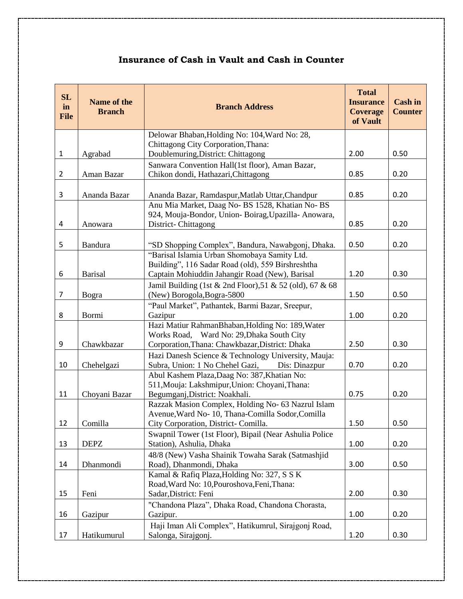# **Insurance of Cash in Vault and Cash in Counter**

| <b>SL</b><br>in<br><b>File</b> | Name of the<br><b>Branch</b> | <b>Branch Address</b>                                                        | <b>Total</b><br><b>Insurance</b><br><b>Coverage</b><br>of Vault | <b>Cash in</b><br><b>Counter</b> |
|--------------------------------|------------------------------|------------------------------------------------------------------------------|-----------------------------------------------------------------|----------------------------------|
|                                |                              | Delowar Bhaban, Holding No: 104, Ward No: 28,                                |                                                                 |                                  |
|                                |                              | Chittagong City Corporation, Thana:                                          |                                                                 |                                  |
| $\mathbf{1}$                   | Agrabad                      | Doublemuring, District: Chittagong                                           | 2.00                                                            | 0.50                             |
|                                |                              | Sanwara Convention Hall(1st floor), Aman Bazar,                              |                                                                 |                                  |
| $\overline{2}$                 | Aman Bazar                   | Chikon dondi, Hathazari, Chittagong                                          | 0.85                                                            | 0.20                             |
| $\mathsf{3}$                   | Ananda Bazar                 | Ananda Bazar, Ramdaspur, Matlab Uttar, Chandpur                              | 0.85                                                            | 0.20                             |
|                                |                              | Anu Mia Market, Daag No- BS 1528, Khatian No- BS                             |                                                                 |                                  |
|                                |                              | 924, Mouja-Bondor, Union-Boirag, Upazilla-Anowara,                           |                                                                 |                                  |
| 4                              | Anowara                      | District-Chittagong                                                          | 0.85                                                            | 0.20                             |
| 5                              | <b>Bandura</b>               | "SD Shopping Complex", Bandura, Nawabgonj, Dhaka.                            | 0.50                                                            | 0.20                             |
|                                |                              | "Barisal Islamia Urban Shomobaya Samity Ltd.                                 |                                                                 |                                  |
|                                |                              | Building", 116 Sadar Road (old), 559 Birshreshtha                            |                                                                 |                                  |
| 6                              | <b>Barisal</b>               | Captain Mohiuddin Jahangir Road (New), Barisal                               | 1.20                                                            | 0.30                             |
|                                |                              | Jamil Building (1st & 2nd Floor), 51 & 52 (old), 67 & 68                     |                                                                 |                                  |
| $\overline{7}$                 | Bogra                        | (New) Borogola, Bogra-5800                                                   | 1.50                                                            | 0.50                             |
|                                |                              | "Paul Market", Pathantek, Barmi Bazar, Sreepur,                              | 1.00                                                            |                                  |
| 8                              | Bormi                        | Gazipur<br>Hazi Matiur RahmanBhaban, Holding No: 189, Water                  |                                                                 | 0.20                             |
|                                |                              | Works Road, Ward No: 29, Dhaka South City                                    |                                                                 |                                  |
| 9                              | Chawkbazar                   | Corporation, Thana: Chawkbazar, District: Dhaka                              | 2.50                                                            | 0.30                             |
|                                |                              | Hazi Danesh Science & Technology University, Mauja:                          |                                                                 |                                  |
| 10                             | Chehelgazi                   | Subra, Union: 1 No Chehel Gazi,<br>Dis: Dinazpur                             | 0.70                                                            | 0.20                             |
|                                |                              | Abul Kashem Plaza, Daag No: 387, Khatian No:                                 |                                                                 |                                  |
|                                |                              | 511, Mouja: Lakshmipur, Union: Choyani, Thana:                               |                                                                 |                                  |
| 11                             | Choyani Bazar                | Begumganj, District: Noakhali.                                               | 0.75                                                            | 0.20                             |
|                                |                              | Razzak Masion Complex, Holding No- 63 Nazrul Islam                           |                                                                 |                                  |
|                                |                              | Avenue, Ward No- 10, Thana-Comilla Sodor, Comilla                            |                                                                 |                                  |
| 12                             | Comilla                      | City Corporation, District-Comilla.                                          | 1.50                                                            | 0.50                             |
| 13                             |                              | Swapnil Tower (1st Floor), Bipail (Near Ashulia Police                       | 1.00                                                            | 0.20                             |
|                                | <b>DEPZ</b>                  | Station), Ashulia, Dhaka                                                     |                                                                 |                                  |
| 14                             | Dhanmondi                    | 48/8 (New) Vasha Shainik Towaha Sarak (Satmashjid<br>Road), Dhanmondi, Dhaka | 3.00                                                            | 0.50                             |
|                                |                              | Kamal & Rafiq Plaza, Holding No: 327, S S K                                  |                                                                 |                                  |
|                                |                              | Road, Ward No: 10, Pouroshova, Feni, Thana:                                  |                                                                 |                                  |
| 15                             | Feni                         | Sadar, District: Feni                                                        | 2.00                                                            | 0.30                             |
|                                |                              | "Chandona Plaza", Dhaka Road, Chandona Chorasta,                             |                                                                 |                                  |
| 16                             | Gazipur                      | Gazipur.                                                                     | 1.00                                                            | 0.20                             |
|                                |                              | Haji Iman Ali Complex", Hatikumrul, Sirajgonj Road,                          |                                                                 |                                  |
| 17                             | Hatikumurul                  | Salonga, Sirajgonj.                                                          | 1.20                                                            | 0.30                             |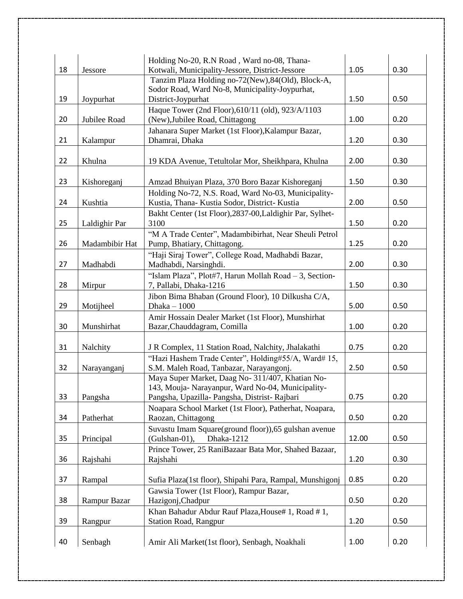| 18 | Jessore        | Holding No-20, R.N Road, Ward no-08, Thana-<br>Kotwali, Municipality-Jessore, District-Jessore        | 1.05  | 0.30 |
|----|----------------|-------------------------------------------------------------------------------------------------------|-------|------|
|    |                | Tanzim Plaza Holding no-72(New),84(Old), Block-A,                                                     |       |      |
|    |                | Sodor Road, Ward No-8, Municipality-Joypurhat,                                                        |       |      |
| 19 | Joypurhat      | District-Joypurhat                                                                                    | 1.50  | 0.50 |
| 20 | Jubilee Road   | Haque Tower (2nd Floor), 610/11 (old), 923/A/1103<br>(New), Jubilee Road, Chittagong                  | 1.00  | 0.20 |
|    |                | Jahanara Super Market (1st Floor), Kalampur Bazar,                                                    |       |      |
| 21 | Kalampur       | Dhamrai, Dhaka                                                                                        | 1.20  | 0.30 |
| 22 | Khulna         | 19 KDA Avenue, Tetultolar Mor, Sheikhpara, Khulna                                                     | 2.00  | 0.30 |
|    |                |                                                                                                       |       |      |
| 23 | Kishoreganj    | Amzad Bhuiyan Plaza, 370 Boro Bazar Kishoreganj                                                       | 1.50  | 0.30 |
|    |                | Holding No-72, N.S. Road, Ward No-03, Municipality-                                                   |       |      |
| 24 | Kushtia        | Kustia, Thana-Kustia Sodor, District-Kustia                                                           | 2.00  | 0.50 |
| 25 | Laldighir Par  | Bakht Center (1st Floor), 2837-00, Laldighir Par, Sylhet-<br>3100                                     | 1.50  | 0.20 |
|    |                | "M A Trade Center", Madambibirhat, Near Sheuli Petrol                                                 |       |      |
| 26 | Madambibir Hat | Pump, Bhatiary, Chittagong.                                                                           | 1.25  | 0.20 |
|    |                | "Haji Siraj Tower", College Road, Madhabdi Bazar,                                                     |       |      |
| 27 | Madhabdi       | Madhabdi, Narsinghdi.                                                                                 | 2.00  | 0.30 |
|    |                | "Islam Plaza", Plot#7, Harun Mollah Road - 3, Section-                                                |       |      |
| 28 | Mirpur         | 7, Pallabi, Dhaka-1216                                                                                | 1.50  | 0.30 |
| 29 | Motijheel      | Jibon Bima Bhaban (Ground Floor), 10 Dilkusha C/A,<br>Dhaka - 1000                                    | 5.00  | 0.50 |
|    |                | Amir Hossain Dealer Market (1st Floor), Munshirhat                                                    |       |      |
| 30 | Munshirhat     | Bazar, Chauddagram, Comilla                                                                           | 1.00  | 0.20 |
|    |                |                                                                                                       |       |      |
| 31 | Nalchity       | J R Complex, 11 Station Road, Nalchity, Jhalakathi                                                    | 0.75  | 0.20 |
|    |                | "Hazi Hashem Trade Center", Holding#55/A, Ward# 15,                                                   |       |      |
| 32 | Narayanganj    | S.M. Maleh Road, Tanbazar, Narayangonj.                                                               | 2.50  | 0.50 |
|    |                | Maya Super Market, Daag No- 311/407, Khatian No-<br>143, Mouja- Narayanpur, Ward No-04, Municipality- |       |      |
| 33 | Pangsha        | Pangsha, Upazilla- Pangsha, Distrist- Rajbari                                                         | 0.75  | 0.20 |
|    |                | Noapara School Market (1st Floor), Patherhat, Noapara,                                                |       |      |
| 34 | Patherhat      | Raozan, Chittagong                                                                                    | 0.50  | 0.20 |
| 35 | Principal      | Suvastu Imam Square(ground floor)), 65 gulshan avenue<br>Dhaka-1212<br>(Gulshan-01),                  | 12.00 | 0.50 |
|    |                | Prince Tower, 25 RaniBazaar Bata Mor, Shahed Bazaar,                                                  |       |      |
| 36 | Rajshahi       | Rajshahi                                                                                              | 1.20  | 0.30 |
| 37 | Rampal         | Sufia Plaza(1st floor), Shipahi Para, Rampal, Munshigonj                                              | 0.85  | 0.20 |
|    |                | Gawsia Tower (1st Floor), Rampur Bazar,                                                               |       |      |
| 38 | Rampur Bazar   | Hazigonj, Chadpur                                                                                     | 0.50  | 0.20 |
|    |                | Khan Bahadur Abdur Rauf Plaza, House# 1, Road # 1,                                                    |       |      |
| 39 | Rangpur        | <b>Station Road, Rangpur</b>                                                                          | 1.20  | 0.50 |
| 40 | Senbagh        | Amir Ali Market(1st floor), Senbagh, Noakhali                                                         | 1.00  | 0.20 |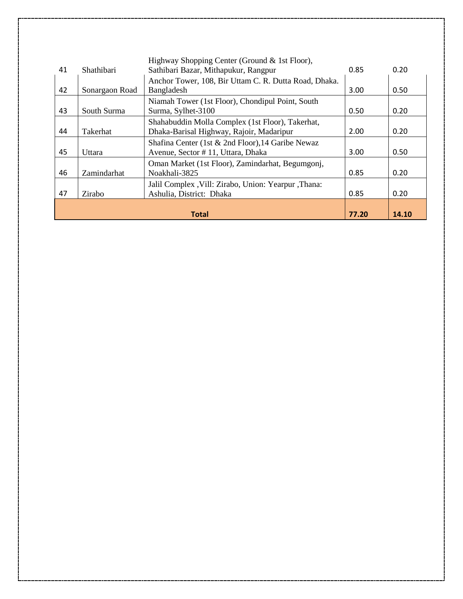|    |                                | Highway Shopping Center (Ground & 1st Floor),         |      |      |
|----|--------------------------------|-------------------------------------------------------|------|------|
| 41 | Shathibari                     | Sathibari Bazar, Mithapukur, Rangpur                  | 0.85 | 0.20 |
|    |                                | Anchor Tower, 108, Bir Uttam C. R. Dutta Road, Dhaka. |      |      |
| 42 | Sonargaon Road                 | Bangladesh                                            | 3.00 | 0.50 |
|    |                                | Niamah Tower (1st Floor), Chondipul Point, South      |      |      |
| 43 | South Surma                    | Surma, Sylhet-3100                                    | 0.50 | 0.20 |
|    |                                | Shahabuddin Molla Complex (1st Floor), Takerhat,      |      |      |
| 44 | Takerhat                       | Dhaka-Barisal Highway, Rajoir, Madaripur              | 2.00 | 0.20 |
|    |                                | Shafina Center (1st & 2nd Floor), 14 Garibe Newaz     |      |      |
| 45 | Uttara                         | Avenue, Sector #11, Uttara, Dhaka                     | 3.00 | 0.50 |
|    |                                | Oman Market (1st Floor), Zamindarhat, Begumgonj,      |      |      |
| 46 | Zamindarhat                    | Noakhali-3825                                         | 0.85 | 0.20 |
|    |                                | Jalil Complex , Vill: Zirabo, Union: Yearpur , Thana: |      |      |
| 47 | Zirabo                         | Ashulia, District: Dhaka                              | 0.85 | 0.20 |
|    |                                |                                                       |      |      |
|    | <b>Total</b><br>77.20<br>14.10 |                                                       |      |      |